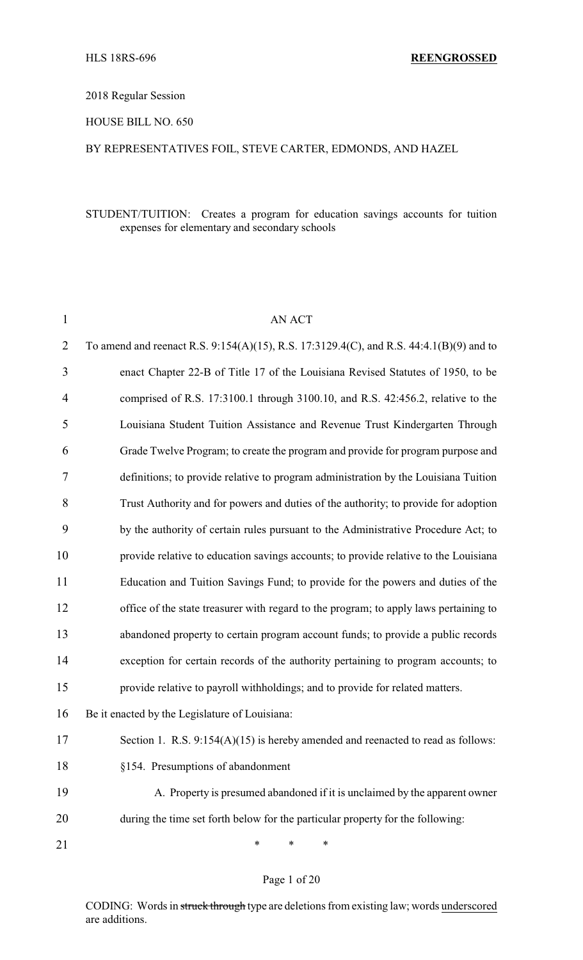# 2018 Regular Session

# HOUSE BILL NO. 650

# BY REPRESENTATIVES FOIL, STEVE CARTER, EDMONDS, AND HAZEL

# STUDENT/TUITION: Creates a program for education savings accounts for tuition expenses for elementary and secondary schools

| $\mathbf{1}$   | <b>AN ACT</b>                                                                           |
|----------------|-----------------------------------------------------------------------------------------|
| $\overline{2}$ | To amend and reenact R.S. 9:154(A)(15), R.S. 17:3129.4(C), and R.S. 44:4.1(B)(9) and to |
| 3              | enact Chapter 22-B of Title 17 of the Louisiana Revised Statutes of 1950, to be         |
| 4              | comprised of R.S. 17:3100.1 through 3100.10, and R.S. 42:456.2, relative to the         |
| 5              | Louisiana Student Tuition Assistance and Revenue Trust Kindergarten Through             |
| 6              | Grade Twelve Program; to create the program and provide for program purpose and         |
| 7              | definitions; to provide relative to program administration by the Louisiana Tuition     |
| 8              | Trust Authority and for powers and duties of the authority; to provide for adoption     |
| 9              | by the authority of certain rules pursuant to the Administrative Procedure Act; to      |
| 10             | provide relative to education savings accounts; to provide relative to the Louisiana    |
| 11             | Education and Tuition Savings Fund; to provide for the powers and duties of the         |
| 12             | office of the state treasurer with regard to the program; to apply laws pertaining to   |
| 13             | abandoned property to certain program account funds; to provide a public records        |
| 14             | exception for certain records of the authority pertaining to program accounts; to       |
| 15             | provide relative to payroll withholdings; and to provide for related matters.           |
| 16             | Be it enacted by the Legislature of Louisiana:                                          |
| 17             | Section 1. R.S. $9:154(A)(15)$ is hereby amended and reenacted to read as follows:      |
| 18             | §154. Presumptions of abandonment                                                       |
| 19             | A. Property is presumed abandoned if it is unclaimed by the apparent owner              |
| 20             | during the time set forth below for the particular property for the following:          |
| 21             | ∗<br>∗<br>∗                                                                             |

#### Page 1 of 20

CODING: Words in struck through type are deletions from existing law; words underscored are additions.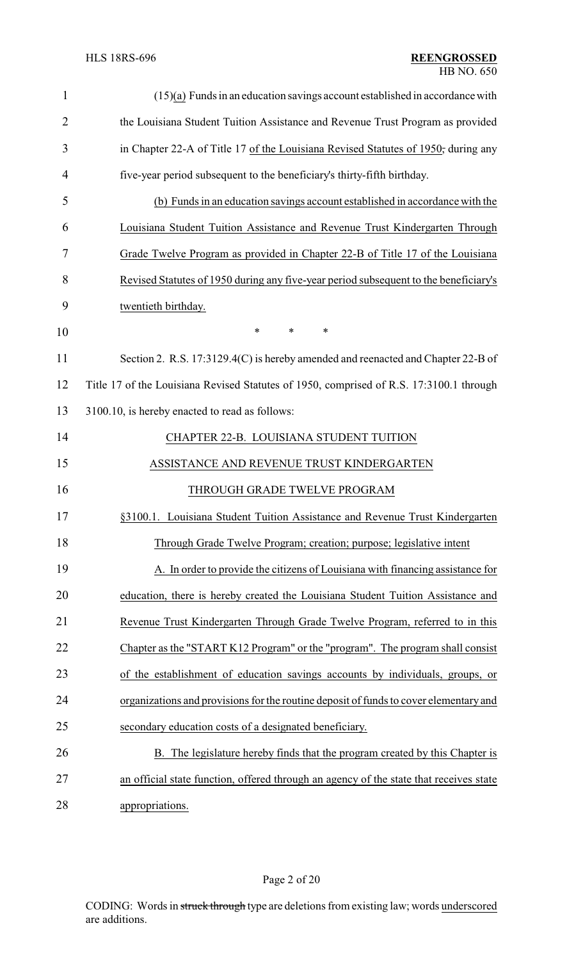| $\mathbf{1}$   | $(15)(a)$ Funds in an education savings account established in accordance with          |
|----------------|-----------------------------------------------------------------------------------------|
| $\overline{2}$ | the Louisiana Student Tuition Assistance and Revenue Trust Program as provided          |
| 3              | in Chapter 22-A of Title 17 of the Louisiana Revised Statutes of 1950; during any       |
| 4              | five-year period subsequent to the beneficiary's thirty-fifth birthday.                 |
| 5              | (b) Funds in an education savings account established in accordance with the            |
| 6              | Louisiana Student Tuition Assistance and Revenue Trust Kindergarten Through             |
| 7              | Grade Twelve Program as provided in Chapter 22-B of Title 17 of the Louisiana           |
| 8              | Revised Statutes of 1950 during any five-year period subsequent to the beneficiary's    |
| 9              | twentieth birthday.                                                                     |
| 10             | $\ast$<br>$\ast$<br>*                                                                   |
| 11             | Section 2. R.S. 17:3129.4(C) is hereby amended and reenacted and Chapter 22-B of        |
| 12             | Title 17 of the Louisiana Revised Statutes of 1950, comprised of R.S. 17:3100.1 through |
| 13             | 3100.10, is hereby enacted to read as follows:                                          |
| 14             | CHAPTER 22-B. LOUISIANA STUDENT TUITION                                                 |
| 15             | ASSISTANCE AND REVENUE TRUST KINDERGARTEN                                               |
| 16             | THROUGH GRADE TWELVE PROGRAM                                                            |
| 17             | §3100.1. Louisiana Student Tuition Assistance and Revenue Trust Kindergarten            |
| 18             | Through Grade Twelve Program; creation; purpose; legislative intent                     |
| 19             | A. In order to provide the citizens of Louisiana with financing assistance for          |
| 20             | education, there is hereby created the Louisiana Student Tuition Assistance and         |
| 21             | Revenue Trust Kindergarten Through Grade Twelve Program, referred to in this            |
| 22             | Chapter as the "START K12 Program" or the "program". The program shall consist          |
| 23             | of the establishment of education savings accounts by individuals, groups, or           |
| 24             | organizations and provisions for the routine deposit of funds to cover elementary and   |
| 25             | secondary education costs of a designated beneficiary.                                  |
| 26             | B. The legislature hereby finds that the program created by this Chapter is             |
| 27             | an official state function, offered through an agency of the state that receives state  |
| 28             | appropriations.                                                                         |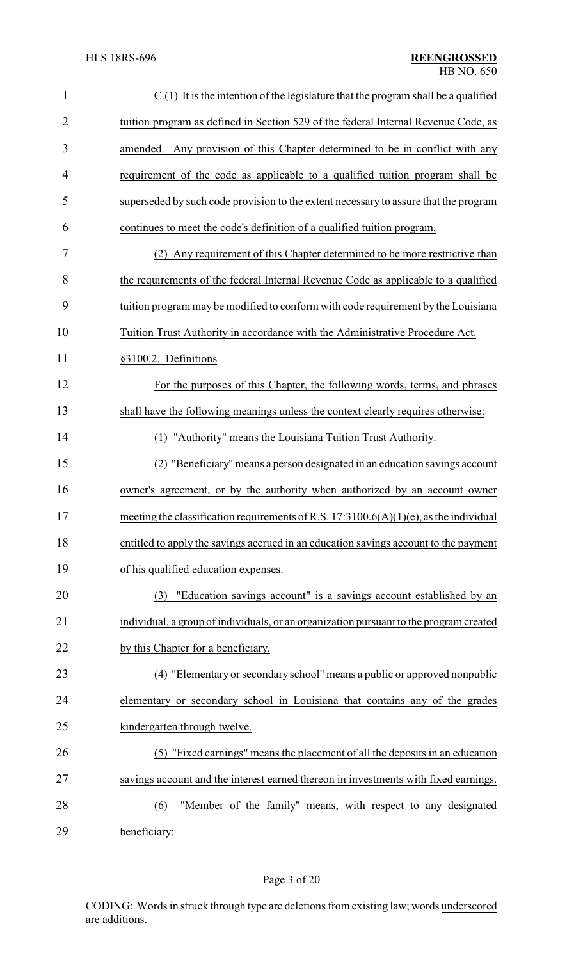| $\mathbf{1}$   | $C(1)$ It is the intention of the legislature that the program shall be a qualified      |
|----------------|------------------------------------------------------------------------------------------|
| $\overline{2}$ | tuition program as defined in Section 529 of the federal Internal Revenue Code, as       |
| 3              | amended. Any provision of this Chapter determined to be in conflict with any             |
| $\overline{4}$ | requirement of the code as applicable to a qualified tuition program shall be            |
| 5              | superseded by such code provision to the extent necessary to assure that the program     |
| 6              | continues to meet the code's definition of a qualified tuition program.                  |
| 7              | (2) Any requirement of this Chapter determined to be more restrictive than               |
| 8              | the requirements of the federal Internal Revenue Code as applicable to a qualified       |
| 9              | tuition program may be modified to conform with code requirement by the Louisiana        |
| 10             | Tuition Trust Authority in accordance with the Administrative Procedure Act.             |
| 11             | §3100.2. Definitions                                                                     |
| 12             | For the purposes of this Chapter, the following words, terms, and phrases                |
| 13             | shall have the following meanings unless the context clearly requires otherwise:         |
| 14             | (1) "Authority" means the Louisiana Tuition Trust Authority.                             |
| 15             | (2) "Beneficiary" means a person designated in an education savings account              |
| 16             | owner's agreement, or by the authority when authorized by an account owner               |
| 17             | meeting the classification requirements of R.S. $17:3100.6(A)(1)(e)$ , as the individual |
| 18             | entitled to apply the savings accrued in an education savings account to the payment     |
| 19             | of his qualified education expenses.                                                     |
| 20             | "Education savings account" is a savings account established by an<br>(3)                |
| 21             | individual, a group of individuals, or an organization pursuant to the program created   |
| 22             | by this Chapter for a beneficiary.                                                       |
| 23             | (4) "Elementary or secondary school" means a public or approved nonpublic                |
| 24             | elementary or secondary school in Louisiana that contains any of the grades              |
| 25             | kindergarten through twelve.                                                             |
| 26             | (5) "Fixed earnings" means the placement of all the deposits in an education             |
| 27             | savings account and the interest earned thereon in investments with fixed earnings.      |
| 28             | "Member of the family" means, with respect to any designated<br>(6)                      |
| 29             | beneficiary:                                                                             |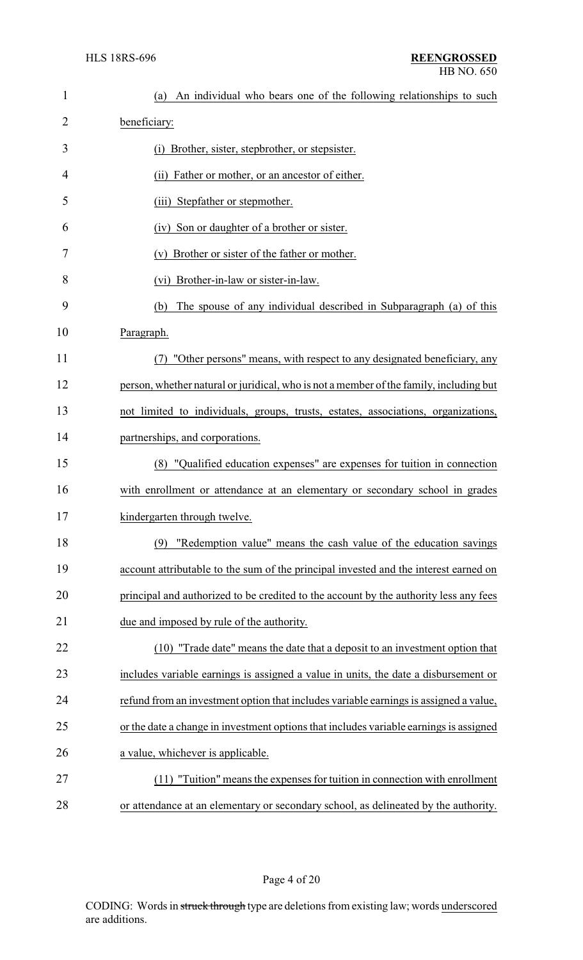| $\mathbf{1}$   | An individual who bears one of the following relationships to such<br>(a)              |
|----------------|----------------------------------------------------------------------------------------|
| $\overline{2}$ | beneficiary:                                                                           |
| 3              | (i) Brother, sister, stepbrother, or stepsister.                                       |
| 4              | Father or mother, or an ancestor of either.<br>(ii)                                    |
| 5              | (iii) Stepfather or stepmother.                                                        |
| 6              | (iv) Son or daughter of a brother or sister.                                           |
| 7              | Brother or sister of the father or mother.<br>(v)                                      |
| 8              | (vi) Brother-in-law or sister-in-law.                                                  |
| 9              | The spouse of any individual described in Subparagraph (a) of this<br>(b)              |
| 10             | Paragraph.                                                                             |
| 11             | (7) "Other persons" means, with respect to any designated beneficiary, any             |
| 12             | person, whether natural or juridical, who is not a member of the family, including but |
| 13             | not limited to individuals, groups, trusts, estates, associations, organizations,      |
| 14             | partnerships, and corporations.                                                        |
| 15             | (8) "Qualified education expenses" are expenses for tuition in connection              |
| 16             | with enrollment or attendance at an elementary or secondary school in grades           |
| 17             | kindergarten through twelve.                                                           |
| 18             | "Redemption value" means the cash value of the education savings<br>(9)                |
| 19             | account attributable to the sum of the principal invested and the interest earned on   |
| 20             | principal and authorized to be credited to the account by the authority less any fees  |
| 21             | due and imposed by rule of the authority.                                              |
| 22             | (10) "Trade date" means the date that a deposit to an investment option that           |
| 23             | includes variable earnings is assigned a value in units, the date a disbursement or    |
| 24             | refund from an investment option that includes variable earnings is assigned a value,  |
| 25             | or the date a change in investment options that includes variable earnings is assigned |
| 26             | a value, whichever is applicable.                                                      |
| 27             | (11) "Tuition" means the expenses for tuition in connection with enrollment            |
| 28             | or attendance at an elementary or secondary school, as delineated by the authority.    |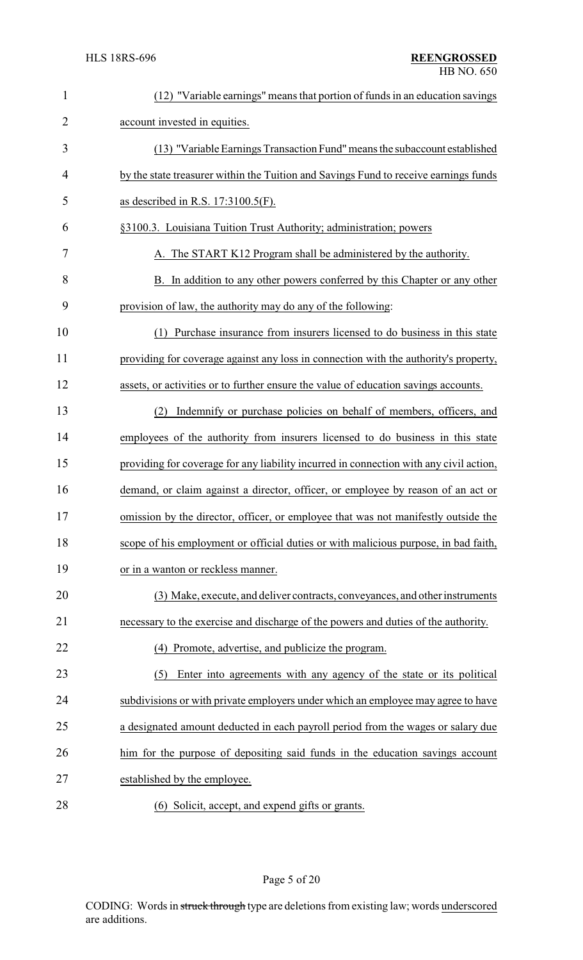| $\mathbf{1}$ | (12) "Variable earnings" means that portion of funds in an education savings           |
|--------------|----------------------------------------------------------------------------------------|
| 2            | account invested in equities.                                                          |
| 3            | (13) "Variable Earnings Transaction Fund" means the subaccount established             |
| 4            | by the state treasurer within the Tuition and Savings Fund to receive earnings funds   |
| 5            | as described in R.S. $17:3100.5(F)$ .                                                  |
| 6            | §3100.3. Louisiana Tuition Trust Authority; administration; powers                     |
| 7            | A. The START K12 Program shall be administered by the authority.                       |
| 8            | B. In addition to any other powers conferred by this Chapter or any other              |
| 9            | provision of law, the authority may do any of the following:                           |
| 10           | Purchase insurance from insurers licensed to do business in this state<br>(1)          |
| 11           | providing for coverage against any loss in connection with the authority's property,   |
| 12           | assets, or activities or to further ensure the value of education savings accounts.    |
| 13           | Indemnify or purchase policies on behalf of members, officers, and<br>(2)              |
| 14           | employees of the authority from insurers licensed to do business in this state         |
| 15           | providing for coverage for any liability incurred in connection with any civil action, |
| 16           | demand, or claim against a director, officer, or employee by reason of an act or       |
| 17           | omission by the director, officer, or employee that was not manifestly outside the     |
| 18           | scope of his employment or official duties or with malicious purpose, in bad faith,    |
| 19           | or in a wanton or reckless manner.                                                     |
| 20           | (3) Make, execute, and deliver contracts, conveyances, and other instruments           |
| 21           | necessary to the exercise and discharge of the powers and duties of the authority.     |
| 22           | (4) Promote, advertise, and publicize the program.                                     |
| 23           | Enter into agreements with any agency of the state or its political<br>(5)             |
| 24           | subdivisions or with private employers under which an employee may agree to have       |
| 25           | a designated amount deducted in each payroll period from the wages or salary due       |
| 26           | him for the purpose of depositing said funds in the education savings account          |
| 27           | established by the employee.                                                           |
| 28           | (6) Solicit, accept, and expend gifts or grants.                                       |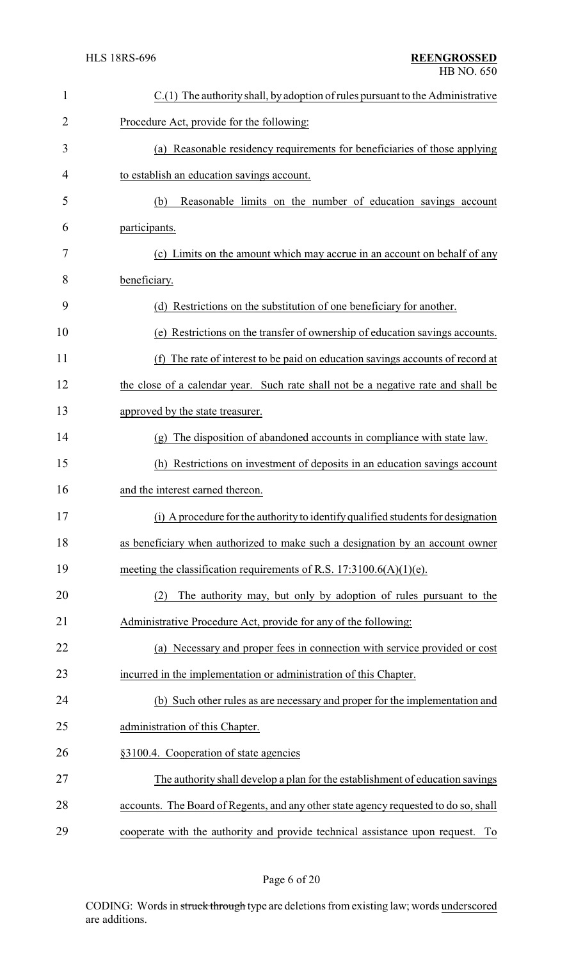| $\mathbf{1}$   | $C(1)$ The authority shall, by adoption of rules pursuant to the Administrative      |
|----------------|--------------------------------------------------------------------------------------|
| $\overline{2}$ | Procedure Act, provide for the following:                                            |
| 3              | (a) Reasonable residency requirements for beneficiaries of those applying            |
| 4              | to establish an education savings account.                                           |
| 5              | Reasonable limits on the number of education savings account<br>(b)                  |
| 6              | participants.                                                                        |
| 7              | (c) Limits on the amount which may accrue in an account on behalf of any             |
| 8              | beneficiary.                                                                         |
| 9              | (d) Restrictions on the substitution of one beneficiary for another.                 |
| 10             | (e) Restrictions on the transfer of ownership of education savings accounts.         |
| 11             | The rate of interest to be paid on education savings accounts of record at<br>(f)    |
| 12             | the close of a calendar year. Such rate shall not be a negative rate and shall be    |
| 13             | approved by the state treasurer.                                                     |
| 14             | The disposition of abandoned accounts in compliance with state law.<br>(g)           |
| 15             | (h) Restrictions on investment of deposits in an education savings account           |
| 16             | and the interest earned thereon.                                                     |
| 17             | (i) A procedure for the authority to identify qualified students for designation     |
| 18             | as beneficiary when authorized to make such a designation by an account owner        |
| 19             | meeting the classification requirements of R.S. $17:3100.6(A)(1)(e)$ .               |
| 20             | The authority may, but only by adoption of rules pursuant to the<br>(2)              |
| 21             | Administrative Procedure Act, provide for any of the following:                      |
| 22             | (a) Necessary and proper fees in connection with service provided or cost            |
| 23             | incurred in the implementation or administration of this Chapter.                    |
| 24             | (b) Such other rules as are necessary and proper for the implementation and          |
| 25             | administration of this Chapter.                                                      |
| 26             | §3100.4. Cooperation of state agencies                                               |
| 27             | The authority shall develop a plan for the establishment of education savings        |
| 28             | accounts. The Board of Regents, and any other state agency requested to do so, shall |
| 29             | cooperate with the authority and provide technical assistance upon request. To       |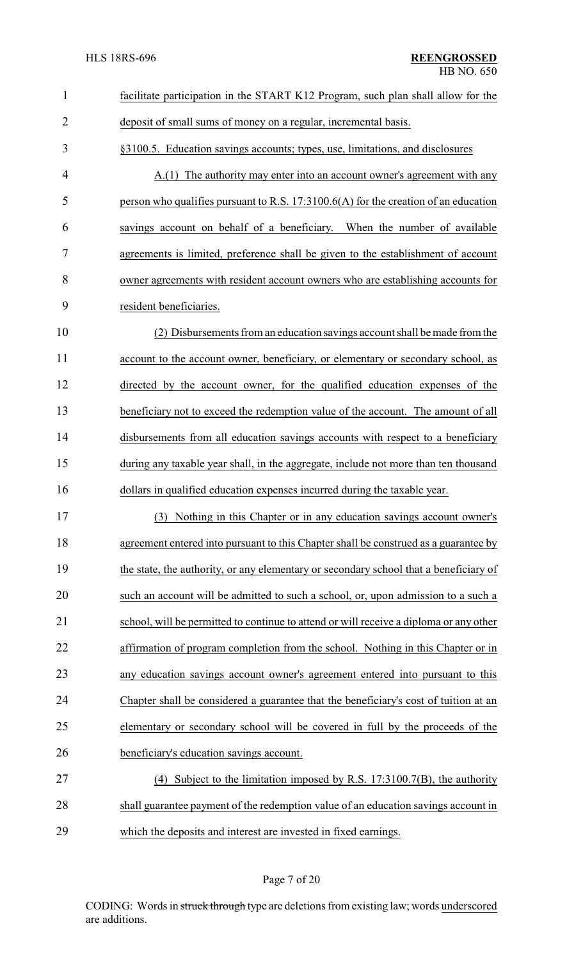| $\mathbf{1}$   | facilitate participation in the START K12 Program, such plan shall allow for the       |
|----------------|----------------------------------------------------------------------------------------|
| $\overline{2}$ | deposit of small sums of money on a regular, incremental basis.                        |
| 3              | §3100.5. Education savings accounts; types, use, limitations, and disclosures          |
| 4              | A.(1) The authority may enter into an account owner's agreement with any               |
| 5              | person who qualifies pursuant to R.S. $17:3100.6(A)$ for the creation of an education  |
| 6              | savings account on behalf of a beneficiary. When the number of available               |
| 7              | agreements is limited, preference shall be given to the establishment of account       |
| 8              | owner agreements with resident account owners who are establishing accounts for        |
| 9              | resident beneficiaries.                                                                |
| 10             | (2) Disbursements from an education savings account shall be made from the             |
| 11             | account to the account owner, beneficiary, or elementary or secondary school, as       |
| 12             | directed by the account owner, for the qualified education expenses of the             |
| 13             | beneficiary not to exceed the redemption value of the account. The amount of all       |
| 14             | disbursements from all education savings accounts with respect to a beneficiary        |
| 15             | during any taxable year shall, in the aggregate, include not more than ten thousand    |
| 16             | dollars in qualified education expenses incurred during the taxable year.              |
| 17             | (3) Nothing in this Chapter or in any education savings account owner's                |
| 18             | agreement entered into pursuant to this Chapter shall be construed as a guarantee by   |
| 19             | the state, the authority, or any elementary or secondary school that a beneficiary of  |
| 20             | such an account will be admitted to such a school, or, upon admission to a such a      |
| 21             | school, will be permitted to continue to attend or will receive a diploma or any other |
| 22             | affirmation of program completion from the school. Nothing in this Chapter or in       |
| 23             | any education savings account owner's agreement entered into pursuant to this          |
| 24             | Chapter shall be considered a guarantee that the beneficiary's cost of tuition at an   |
| 25             | elementary or secondary school will be covered in full by the proceeds of the          |
| 26             | beneficiary's education savings account.                                               |
| 27             | (4) Subject to the limitation imposed by R.S. $17:3100.7(B)$ , the authority           |
| 28             | shall guarantee payment of the redemption value of an education savings account in     |
| 29             | which the deposits and interest are invested in fixed earnings.                        |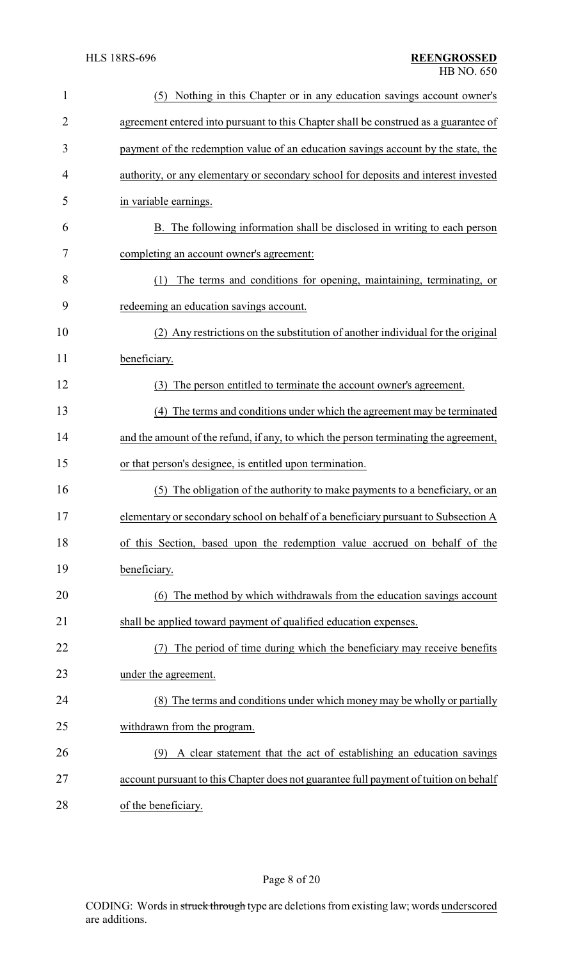| $\mathbf{1}$   | Nothing in this Chapter or in any education savings account owner's<br>(5)            |
|----------------|---------------------------------------------------------------------------------------|
| $\overline{2}$ | agreement entered into pursuant to this Chapter shall be construed as a guarantee of  |
| 3              | payment of the redemption value of an education savings account by the state, the     |
| 4              | authority, or any elementary or secondary school for deposits and interest invested   |
| 5              | in variable earnings.                                                                 |
| 6              | B. The following information shall be disclosed in writing to each person             |
| 7              | completing an account owner's agreement:                                              |
| 8              | The terms and conditions for opening, maintaining, terminating, or<br>(1)             |
| 9              | redeeming an education savings account.                                               |
| 10             | (2) Any restrictions on the substitution of another individual for the original       |
| 11             | beneficiary.                                                                          |
| 12             | The person entitled to terminate the account owner's agreement.<br>(3)                |
| 13             | (4) The terms and conditions under which the agreement may be terminated              |
| 14             | and the amount of the refund, if any, to which the person terminating the agreement,  |
| 15             | or that person's designee, is entitled upon termination.                              |
| 16             | The obligation of the authority to make payments to a beneficiary, or an<br>(5)       |
| 17             | elementary or secondary school on behalf of a beneficiary pursuant to Subsection A    |
| 18             | of this Section, based upon the redemption value accrued on behalf of the             |
| 19             | beneficiary.                                                                          |
| 20             | (6) The method by which withdrawals from the education savings account                |
| 21             | shall be applied toward payment of qualified education expenses.                      |
| 22             | The period of time during which the beneficiary may receive benefits                  |
| 23             | under the agreement.                                                                  |
| 24             | (8) The terms and conditions under which money may be wholly or partially             |
| 25             | withdrawn from the program.                                                           |
| 26             | A clear statement that the act of establishing an education savings<br>(9)            |
| 27             | account pursuant to this Chapter does not guarantee full payment of tuition on behalf |
| 28             | of the beneficiary.                                                                   |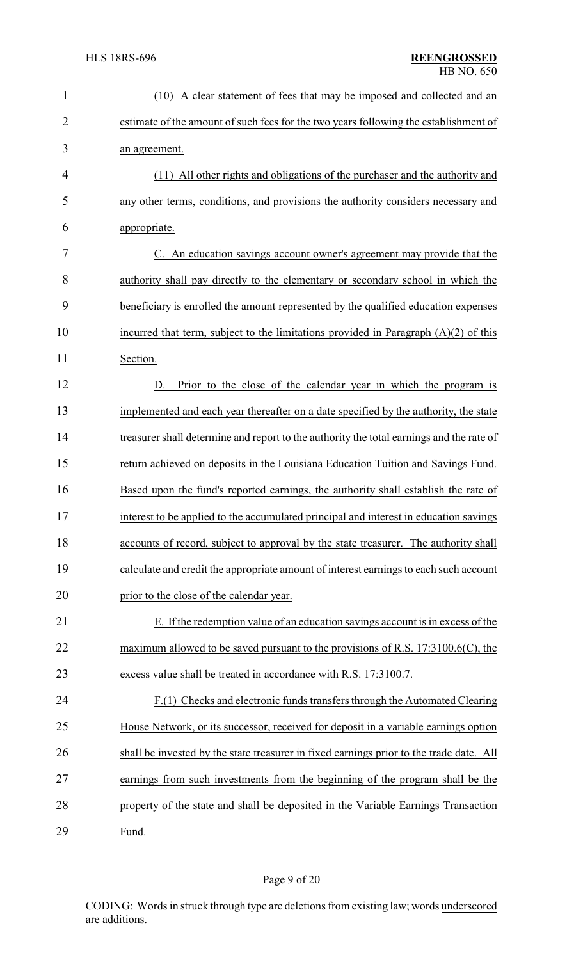| $\mathbf{1}$   | (10) A clear statement of fees that may be imposed and collected and an                  |
|----------------|------------------------------------------------------------------------------------------|
| $\overline{2}$ | estimate of the amount of such fees for the two years following the establishment of     |
| 3              | an agreement.                                                                            |
| 4              | (11) All other rights and obligations of the purchaser and the authority and             |
| 5              | any other terms, conditions, and provisions the authority considers necessary and        |
| 6              | appropriate.                                                                             |
| 7              | C. An education savings account owner's agreement may provide that the                   |
| 8              | authority shall pay directly to the elementary or secondary school in which the          |
| 9              | beneficiary is enrolled the amount represented by the qualified education expenses       |
| 10             | incurred that term, subject to the limitations provided in Paragraph $(A)(2)$ of this    |
| 11             | Section.                                                                                 |
| 12             | Prior to the close of the calendar year in which the program is<br>D.                    |
| 13             | implemented and each year thereafter on a date specified by the authority, the state     |
| 14             | treasurer shall determine and report to the authority the total earnings and the rate of |
| 15             | return achieved on deposits in the Louisiana Education Tuition and Savings Fund.         |
| 16             | Based upon the fund's reported earnings, the authority shall establish the rate of       |
| 17             | interest to be applied to the accumulated principal and interest in education savings    |
| 18             | accounts of record, subject to approval by the state treasurer. The authority shall      |
| 19             | calculate and credit the appropriate amount of interest earnings to each such account    |
| 20             | prior to the close of the calendar year.                                                 |
| 21             | E. If the redemption value of an education savings account is in excess of the           |
| 22             | maximum allowed to be saved pursuant to the provisions of R.S. $17:3100.6(C)$ , the      |
| 23             | excess value shall be treated in accordance with R.S. 17:3100.7.                         |
| 24             | F.(1) Checks and electronic funds transfers through the Automated Clearing               |
| 25             | House Network, or its successor, received for deposit in a variable earnings option      |
| 26             | shall be invested by the state treasurer in fixed earnings prior to the trade date. All  |
| 27             | earnings from such investments from the beginning of the program shall be the            |
| 28             | property of the state and shall be deposited in the Variable Earnings Transaction        |
| 29             | Fund.                                                                                    |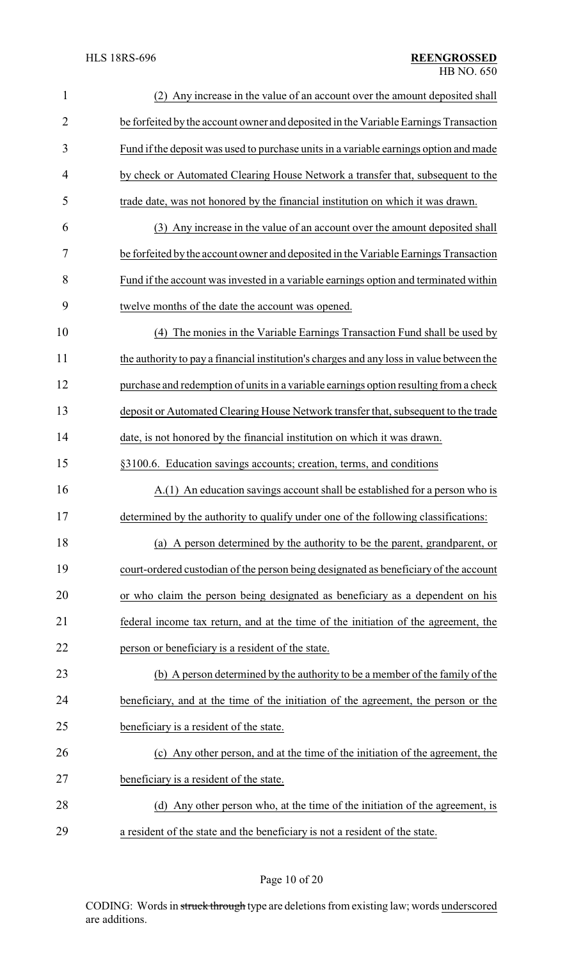| $\mathbf{1}$   | (2) Any increase in the value of an account over the amount deposited shall              |
|----------------|------------------------------------------------------------------------------------------|
| $\overline{2}$ | be forfeited by the account owner and deposited in the Variable Earnings Transaction     |
| 3              | Fund if the deposit was used to purchase units in a variable earnings option and made    |
| 4              | by check or Automated Clearing House Network a transfer that, subsequent to the          |
| 5              | trade date, was not honored by the financial institution on which it was drawn.          |
| 6              | (3) Any increase in the value of an account over the amount deposited shall              |
| 7              | be forfeited by the account owner and deposited in the Variable Earnings Transaction     |
| 8              | Fund if the account was invested in a variable earnings option and terminated within     |
| 9              | twelve months of the date the account was opened.                                        |
| 10             | The monies in the Variable Earnings Transaction Fund shall be used by<br>(4)             |
| 11             | the authority to pay a financial institution's charges and any loss in value between the |
| 12             | purchase and redemption of units in a variable earnings option resulting from a check    |
| 13             | deposit or Automated Clearing House Network transfer that, subsequent to the trade       |
| 14             | date, is not honored by the financial institution on which it was drawn.                 |
| 15             | §3100.6. Education savings accounts; creation, terms, and conditions                     |
| 16             | A.(1) An education savings account shall be established for a person who is              |
| 17             | determined by the authority to qualify under one of the following classifications:       |
| 18             | (a) A person determined by the authority to be the parent, grandparent, or               |
| 19             | court-ordered custodian of the person being designated as beneficiary of the account     |
| 20             | or who claim the person being designated as beneficiary as a dependent on his            |
| 21             | federal income tax return, and at the time of the initiation of the agreement, the       |
| 22             | person or beneficiary is a resident of the state.                                        |
| 23             | (b) A person determined by the authority to be a member of the family of the             |
| 24             | beneficiary, and at the time of the initiation of the agreement, the person or the       |
| 25             | beneficiary is a resident of the state.                                                  |
| 26             | (c) Any other person, and at the time of the initiation of the agreement, the            |
| 27             | beneficiary is a resident of the state.                                                  |
| 28             | (d) Any other person who, at the time of the initiation of the agreement, is             |
| 29             | a resident of the state and the beneficiary is not a resident of the state.              |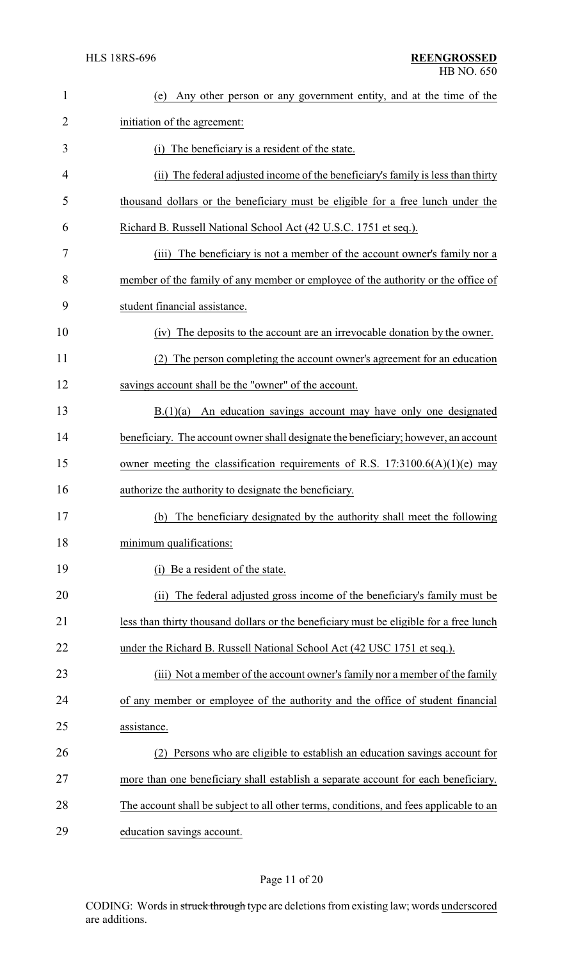| $\mathbf{1}$ | Any other person or any government entity, and at the time of the<br>(e)               |
|--------------|----------------------------------------------------------------------------------------|
| 2            | initiation of the agreement:                                                           |
| 3            | (i) The beneficiary is a resident of the state.                                        |
| 4            | (ii) The federal adjusted income of the beneficiary's family is less than thirty       |
| 5            | thousand dollars or the beneficiary must be eligible for a free lunch under the        |
| 6            | Richard B. Russell National School Act (42 U.S.C. 1751 et seq.).                       |
| 7            | The beneficiary is not a member of the account owner's family nor a<br>(iii)           |
| 8            | member of the family of any member or employee of the authority or the office of       |
| 9            | student financial assistance.                                                          |
| 10           | The deposits to the account are an irrevocable donation by the owner.<br>(iv)          |
| 11           | The person completing the account owner's agreement for an education                   |
| 12           | savings account shall be the "owner" of the account.                                   |
| 13           | B(1)(a)<br>An education savings account may have only one designated                   |
| 14           | beneficiary. The account owner shall designate the beneficiary; however, an account    |
| 15           | owner meeting the classification requirements of R.S. $17:3100.6(A)(1)(e)$ may         |
| 16           | authorize the authority to designate the beneficiary.                                  |
| 17           | (b) The beneficiary designated by the authority shall meet the following               |
| 18           | minimum qualifications:                                                                |
| 19           | Be a resident of the state.                                                            |
| 20           | The federal adjusted gross income of the beneficiary's family must be<br>(ii)          |
| 21           | less than thirty thousand dollars or the beneficiary must be eligible for a free lunch |
| 22           | under the Richard B. Russell National School Act (42 USC 1751 et seq.).                |
| 23           | (iii) Not a member of the account owner's family nor a member of the family            |
| 24           | of any member or employee of the authority and the office of student financial         |
| 25           | assistance.                                                                            |
| 26           | Persons who are eligible to establish an education savings account for                 |
| 27           | more than one beneficiary shall establish a separate account for each beneficiary.     |
| 28           | The account shall be subject to all other terms, conditions, and fees applicable to an |
| 29           | education savings account.                                                             |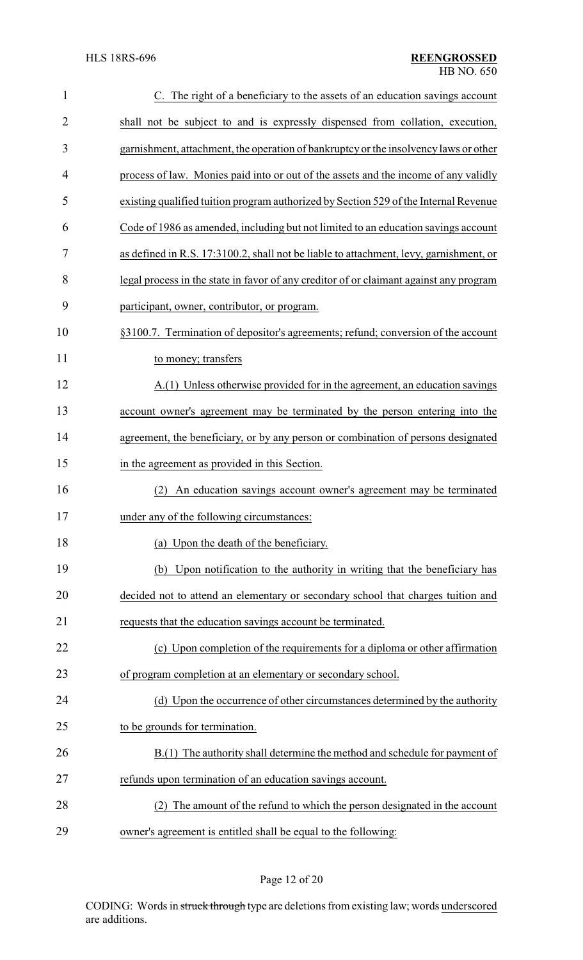| $\mathbf{1}$   | C. The right of a beneficiary to the assets of an education savings account            |
|----------------|----------------------------------------------------------------------------------------|
| $\overline{2}$ | shall not be subject to and is expressly dispensed from collation, execution,          |
| 3              | garnishment, attachment, the operation of bankruptcy or the insolvency laws or other   |
| 4              | process of law. Monies paid into or out of the assets and the income of any validly    |
| 5              | existing qualified tuition program authorized by Section 529 of the Internal Revenue   |
| 6              | Code of 1986 as amended, including but not limited to an education savings account     |
| 7              | as defined in R.S. 17:3100.2, shall not be liable to attachment, levy, garnishment, or |
| 8              | legal process in the state in favor of any creditor of or claimant against any program |
| 9              | participant, owner, contributor, or program.                                           |
| 10             | §3100.7. Termination of depositor's agreements; refund; conversion of the account      |
| 11             | to money; transfers                                                                    |
| 12             | A.(1) Unless otherwise provided for in the agreement, an education savings             |
| 13             | account owner's agreement may be terminated by the person entering into the            |
| 14             | agreement, the beneficiary, or by any person or combination of persons designated      |
| 15             | in the agreement as provided in this Section.                                          |
| 16             | An education savings account owner's agreement may be terminated<br>(2)                |
| 17             | under any of the following circumstances:                                              |
| 18             | (a) Upon the death of the beneficiary.                                                 |
| 19             | (b) Upon notification to the authority in writing that the beneficiary has             |
| 20             | decided not to attend an elementary or secondary school that charges tuition and       |
| 21             | requests that the education savings account be terminated.                             |
| 22             | (c) Upon completion of the requirements for a diploma or other affirmation             |
| 23             | of program completion at an elementary or secondary school.                            |
| 24             | (d) Upon the occurrence of other circumstances determined by the authority             |
| 25             | to be grounds for termination.                                                         |
| 26             | B.(1) The authority shall determine the method and schedule for payment of             |
| 27             | refunds upon termination of an education savings account.                              |
| 28             | The amount of the refund to which the person designated in the account                 |
| 29             | owner's agreement is entitled shall be equal to the following:                         |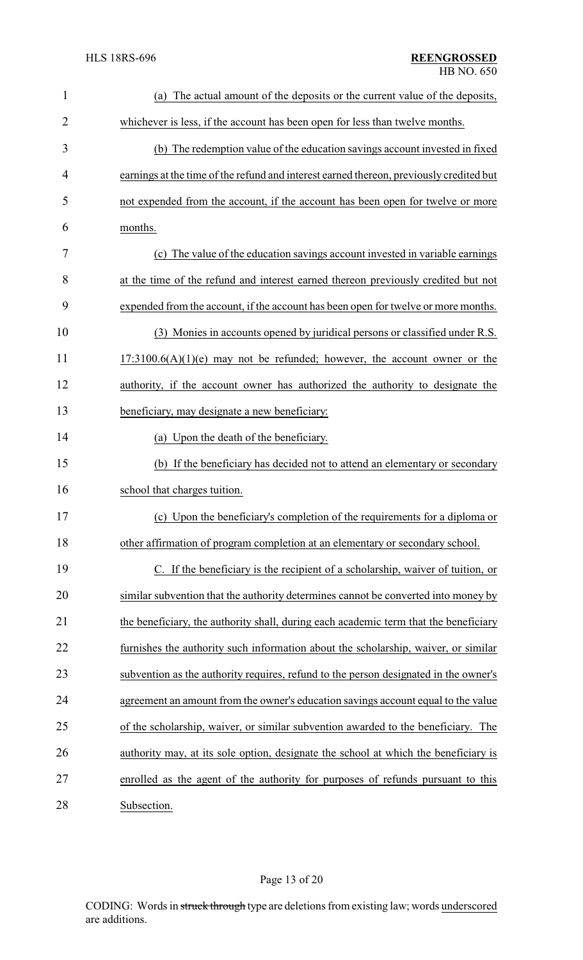| $\mathbf{1}$   | The actual amount of the deposits or the current value of the deposits,<br>(a)          |
|----------------|-----------------------------------------------------------------------------------------|
| $\overline{2}$ | whichever is less, if the account has been open for less than twelve months.            |
| 3              | (b) The redemption value of the education savings account invested in fixed             |
| 4              | earnings at the time of the refund and interest earned thereon, previously credited but |
| 5              | not expended from the account, if the account has been open for twelve or more          |
| 6              | months.                                                                                 |
| 7              | (c) The value of the education savings account invested in variable earnings            |
| 8              | at the time of the refund and interest earned thereon previously credited but not       |
| 9              | expended from the account, if the account has been open for twelve or more months.      |
| 10             | (3) Monies in accounts opened by juridical persons or classified under R.S.             |
| 11             | $17:3100.6(A)(1)(e)$ may not be refunded; however, the account owner or the             |
| 12             | authority, if the account owner has authorized the authority to designate the           |
| 13             | beneficiary, may designate a new beneficiary:                                           |
| 14             | (a) Upon the death of the beneficiary.                                                  |
| 15             | (b) If the beneficiary has decided not to attend an elementary or secondary             |
| 16             | school that charges tuition.                                                            |
| 17             | (c) Upon the beneficiary's completion of the requirements for a diploma or              |
| 18             | other affirmation of program completion at an elementary or secondary school.           |
| 19             | C. If the beneficiary is the recipient of a scholarship, waiver of tuition, or          |
| 20             | similar subvention that the authority determines cannot be converted into money by      |
| 21             | the beneficiary, the authority shall, during each academic term that the beneficiary    |
| 22             | furnishes the authority such information about the scholarship, waiver, or similar      |
| 23             | subvention as the authority requires, refund to the person designated in the owner's    |
| 24             | agreement an amount from the owner's education savings account equal to the value       |
| 25             | of the scholarship, waiver, or similar subvention awarded to the beneficiary. The       |
| 26             | authority may, at its sole option, designate the school at which the beneficiary is     |
| 27             | enrolled as the agent of the authority for purposes of refunds pursuant to this         |
| 28             | Subsection.                                                                             |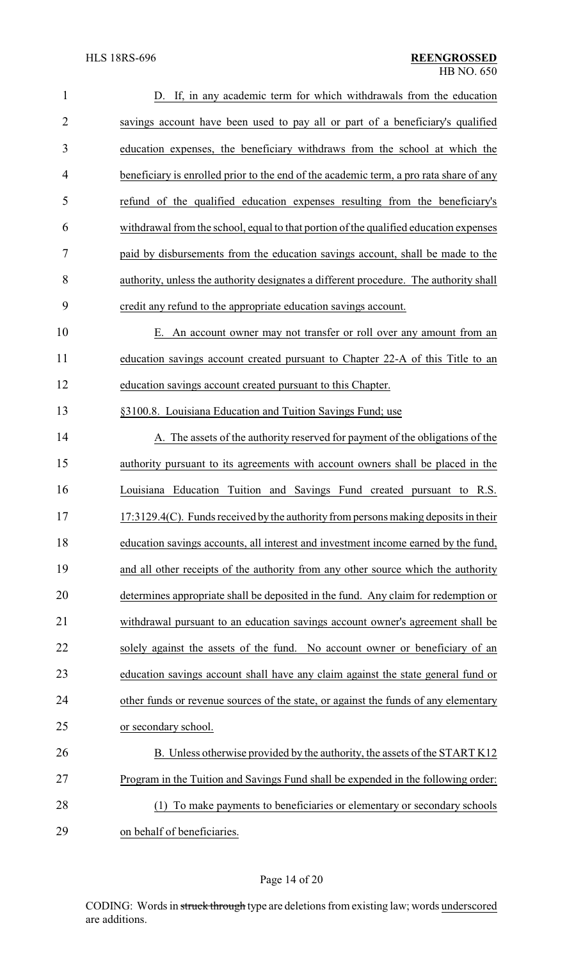| $\mathbf{1}$   | D. If, in any academic term for which withdrawals from the education                   |
|----------------|----------------------------------------------------------------------------------------|
| $\overline{2}$ | savings account have been used to pay all or part of a beneficiary's qualified         |
| 3              | education expenses, the beneficiary withdraws from the school at which the             |
| 4              | beneficiary is enrolled prior to the end of the academic term, a pro rata share of any |
| 5              | refund of the qualified education expenses resulting from the beneficiary's            |
| 6              | withdrawal from the school, equal to that portion of the qualified education expenses  |
| 7              | paid by disbursements from the education savings account, shall be made to the         |
| 8              | authority, unless the authority designates a different procedure. The authority shall  |
| 9              | credit any refund to the appropriate education savings account.                        |
| 10             | E. An account owner may not transfer or roll over any amount from an                   |
| 11             | education savings account created pursuant to Chapter 22-A of this Title to an         |
| 12             | education savings account created pursuant to this Chapter.                            |
| 13             | §3100.8. Louisiana Education and Tuition Savings Fund; use                             |
| 14             | A. The assets of the authority reserved for payment of the obligations of the          |
| 15             | authority pursuant to its agreements with account owners shall be placed in the        |
| 16             | Louisiana Education Tuition and Savings Fund created pursuant to R.S.                  |
| 17             | 17:3129.4(C). Funds received by the authority from persons making deposits in their    |
| 18             | education savings accounts, all interest and investment income earned by the fund,     |
| 19             | and all other receipts of the authority from any other source which the authority      |
| 20             | determines appropriate shall be deposited in the fund. Any claim for redemption or     |
| 21             | withdrawal pursuant to an education savings account owner's agreement shall be         |
| 22             | solely against the assets of the fund. No account owner or beneficiary of an           |
| 23             | education savings account shall have any claim against the state general fund or       |
| 24             | other funds or revenue sources of the state, or against the funds of any elementary    |
| 25             | or secondary school.                                                                   |
| 26             | B. Unless otherwise provided by the authority, the assets of the START K12             |
| 27             | Program in the Tuition and Savings Fund shall be expended in the following order:      |
| 28             | To make payments to beneficiaries or elementary or secondary schools<br>(1)            |
| 29             | on behalf of beneficiaries.                                                            |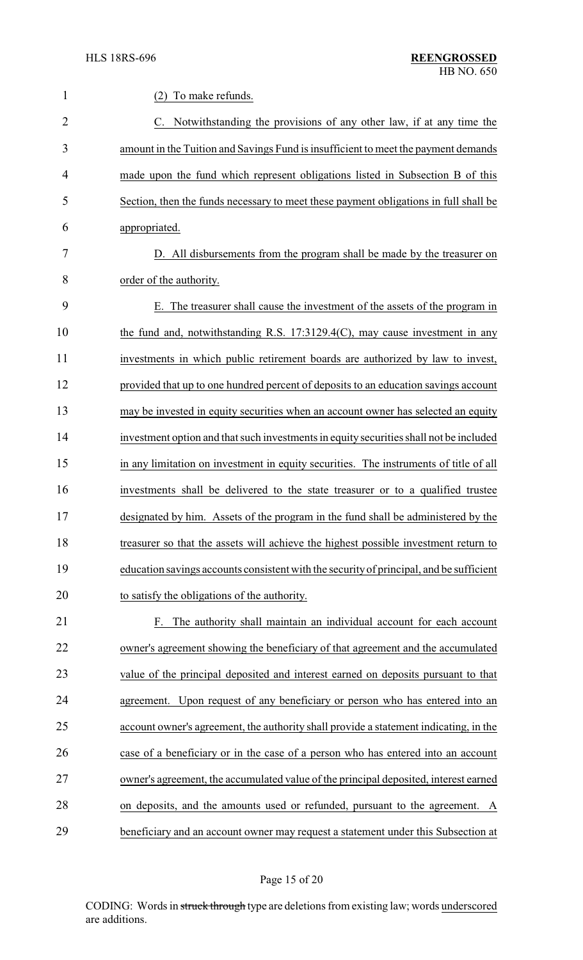| $\mathbf{1}$   | (2)<br>To make refunds.                                                                 |
|----------------|-----------------------------------------------------------------------------------------|
| $\overline{2}$ | C. Notwithstanding the provisions of any other law, if at any time the                  |
| 3              | amount in the Tuition and Savings Fund is insufficient to meet the payment demands      |
| 4              | made upon the fund which represent obligations listed in Subsection B of this           |
| 5              | Section, then the funds necessary to meet these payment obligations in full shall be    |
| 6              | appropriated.                                                                           |
| 7              | D. All disbursements from the program shall be made by the treasurer on                 |
| 8              | order of the authority.                                                                 |
| 9              | E. The treasurer shall cause the investment of the assets of the program in             |
| 10             | the fund and, notwithstanding R.S. 17:3129.4(C), may cause investment in any            |
| 11             | investments in which public retirement boards are authorized by law to invest,          |
| 12             | provided that up to one hundred percent of deposits to an education savings account     |
| 13             | may be invested in equity securities when an account owner has selected an equity       |
| 14             | investment option and that such investments in equity securities shall not be included  |
| 15             | in any limitation on investment in equity securities. The instruments of title of all   |
| 16             | investments shall be delivered to the state treasurer or to a qualified trustee         |
| 17             | designated by him. Assets of the program in the fund shall be administered by the       |
| 18             | treasurer so that the assets will achieve the highest possible investment return to     |
| 19             | education savings accounts consistent with the security of principal, and be sufficient |
| 20             | to satisfy the obligations of the authority.                                            |
| 21             | The authority shall maintain an individual account for each account<br>F.               |
| 22             | owner's agreement showing the beneficiary of that agreement and the accumulated         |
| 23             | value of the principal deposited and interest earned on deposits pursuant to that       |
| 24             | agreement. Upon request of any beneficiary or person who has entered into an            |
| 25             | account owner's agreement, the authority shall provide a statement indicating, in the   |
| 26             | case of a beneficiary or in the case of a person who has entered into an account        |
| 27             | owner's agreement, the accumulated value of the principal deposited, interest earned    |
| 28             | on deposits, and the amounts used or refunded, pursuant to the agreement. A             |
| 29             | beneficiary and an account owner may request a statement under this Subsection at       |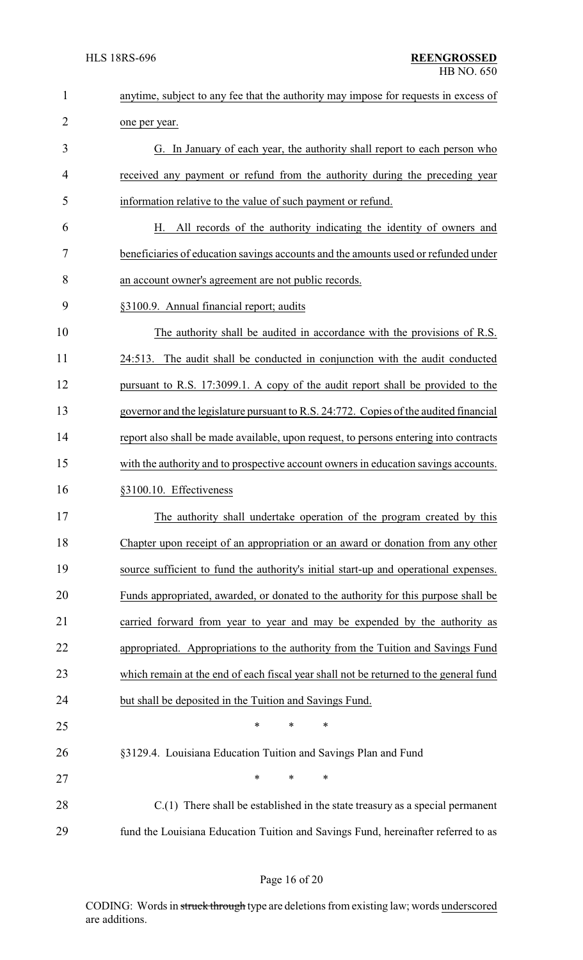| $\mathbf{1}$   | anytime, subject to any fee that the authority may impose for requests in excess of   |  |  |
|----------------|---------------------------------------------------------------------------------------|--|--|
| $\overline{2}$ | one per year.                                                                         |  |  |
| 3              | G. In January of each year, the authority shall report to each person who             |  |  |
| 4              | received any payment or refund from the authority during the preceding year           |  |  |
| 5              | information relative to the value of such payment or refund.                          |  |  |
| 6              | All records of the authority indicating the identity of owners and<br>Н.              |  |  |
| 7              | beneficiaries of education savings accounts and the amounts used or refunded under    |  |  |
| 8              | an account owner's agreement are not public records.                                  |  |  |
| 9              | §3100.9. Annual financial report; audits                                              |  |  |
| 10             | The authority shall be audited in accordance with the provisions of R.S.              |  |  |
| 11             | The audit shall be conducted in conjunction with the audit conducted<br>24:513.       |  |  |
| 12             | pursuant to R.S. 17:3099.1. A copy of the audit report shall be provided to the       |  |  |
| 13             | governor and the legislature pursuant to R.S. 24:772. Copies of the audited financial |  |  |
| 14             | report also shall be made available, upon request, to persons entering into contracts |  |  |
| 15             | with the authority and to prospective account owners in education savings accounts.   |  |  |
| 16             | §3100.10. Effectiveness                                                               |  |  |
| 17             | The authority shall undertake operation of the program created by this                |  |  |
| 18             | Chapter upon receipt of an appropriation or an award or donation from any other       |  |  |
| 19             | source sufficient to fund the authority's initial start-up and operational expenses.  |  |  |
| 20             | Funds appropriated, awarded, or donated to the authority for this purpose shall be    |  |  |
| 21             | carried forward from year to year and may be expended by the authority as             |  |  |
| 22             | appropriated. Appropriations to the authority from the Tuition and Savings Fund       |  |  |
| 23             | which remain at the end of each fiscal year shall not be returned to the general fund |  |  |
| 24             | but shall be deposited in the Tuition and Savings Fund.                               |  |  |
| 25             | $\ast$<br>*<br>*                                                                      |  |  |
| 26             | §3129.4. Louisiana Education Tuition and Savings Plan and Fund                        |  |  |
| 27             | $\ast$<br>$\ast$<br>*                                                                 |  |  |
| 28             | $C(1)$ There shall be established in the state treasury as a special permanent        |  |  |
| 29             | fund the Louisiana Education Tuition and Savings Fund, hereinafter referred to as     |  |  |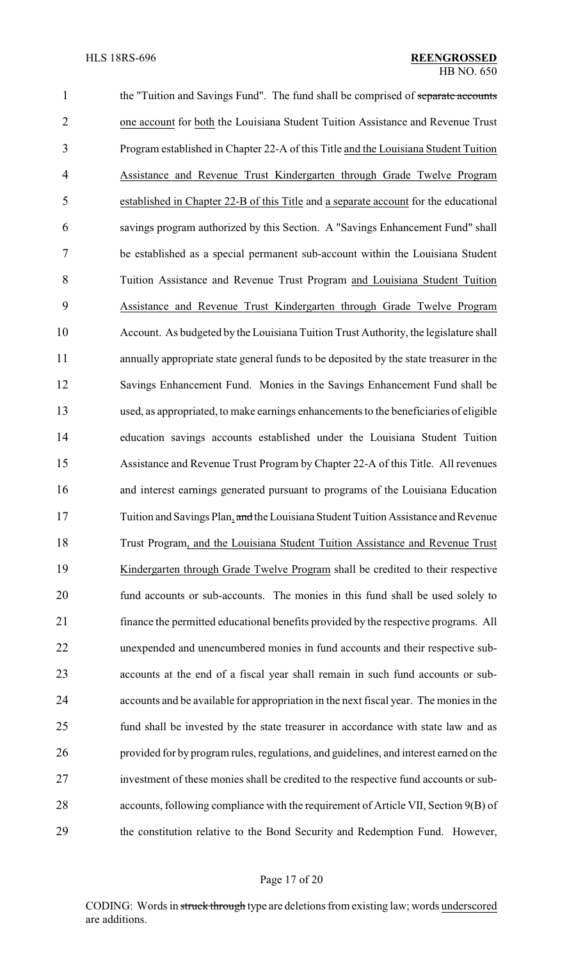1 the "Tuition and Savings Fund". The fund shall be comprised of separate accounts one account for both the Louisiana Student Tuition Assistance and Revenue Trust Program established in Chapter 22-A of this Title and the Louisiana Student Tuition Assistance and Revenue Trust Kindergarten through Grade Twelve Program established in Chapter 22-B of this Title and a separate account for the educational savings program authorized by this Section. A "Savings Enhancement Fund" shall be established as a special permanent sub-account within the Louisiana Student Tuition Assistance and Revenue Trust Program and Louisiana Student Tuition Assistance and Revenue Trust Kindergarten through Grade Twelve Program Account. As budgeted by the Louisiana Tuition Trust Authority, the legislature shall annually appropriate state general funds to be deposited by the state treasurer in the Savings Enhancement Fund. Monies in the Savings Enhancement Fund shall be used, as appropriated, to make earnings enhancements to the beneficiaries of eligible education savings accounts established under the Louisiana Student Tuition Assistance and Revenue Trust Program by Chapter 22-A of this Title. All revenues and interest earnings generated pursuant to programs of the Louisiana Education 17 Tuition and Savings Plan, and the Louisiana Student Tuition Assistance and Revenue Trust Program, and the Louisiana Student Tuition Assistance and Revenue Trust Kindergarten through Grade Twelve Program shall be credited to their respective fund accounts or sub-accounts. The monies in this fund shall be used solely to finance the permitted educational benefits provided by the respective programs. All unexpended and unencumbered monies in fund accounts and their respective sub- accounts at the end of a fiscal year shall remain in such fund accounts or sub- accounts and be available for appropriation in the next fiscal year. The monies in the fund shall be invested by the state treasurer in accordance with state law and as provided for by program rules, regulations, and guidelines, and interest earned on the investment of these monies shall be credited to the respective fund accounts or sub- accounts, following compliance with the requirement of Article VII, Section 9(B) of the constitution relative to the Bond Security and Redemption Fund. However,

#### Page 17 of 20

CODING: Words in struck through type are deletions from existing law; words underscored are additions.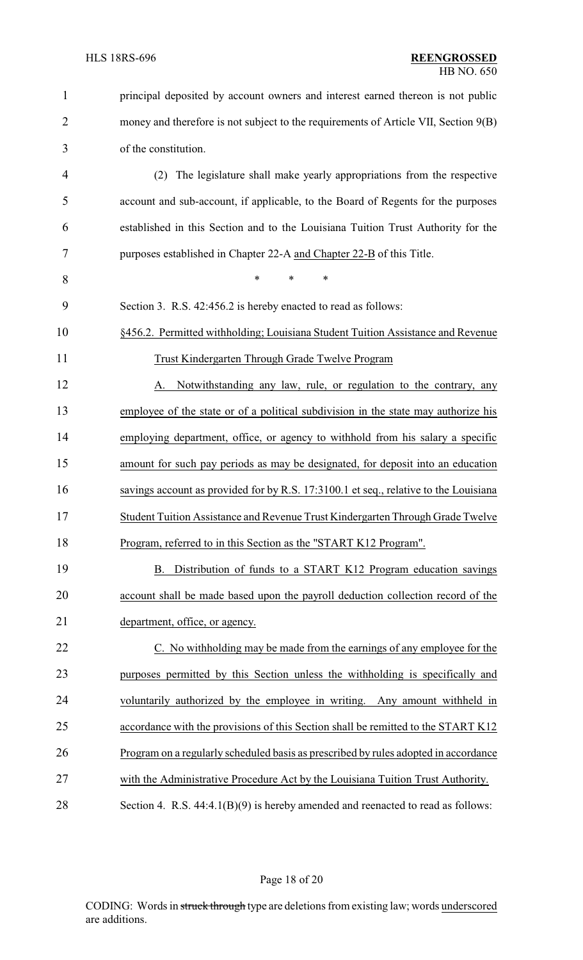| $\mathbf{1}$   | principal deposited by account owners and interest earned thereon is not public      |
|----------------|--------------------------------------------------------------------------------------|
| $\overline{2}$ | money and therefore is not subject to the requirements of Article VII, Section 9(B)  |
| 3              | of the constitution.                                                                 |
| 4              | The legislature shall make yearly appropriations from the respective<br>(2)          |
| 5              | account and sub-account, if applicable, to the Board of Regents for the purposes     |
| 6              | established in this Section and to the Louisiana Tuition Trust Authority for the     |
| 7              | purposes established in Chapter 22-A and Chapter 22-B of this Title.                 |
| 8              | $\ast$<br>*<br>∗                                                                     |
| 9              | Section 3. R.S. 42:456.2 is hereby enacted to read as follows:                       |
| 10             | §456.2. Permitted withholding; Louisiana Student Tuition Assistance and Revenue      |
| 11             | Trust Kindergarten Through Grade Twelve Program                                      |
| 12             | Notwithstanding any law, rule, or regulation to the contrary, any<br>A.              |
| 13             | employee of the state or of a political subdivision in the state may authorize his   |
| 14             | employing department, office, or agency to withhold from his salary a specific       |
| 15             | amount for such pay periods as may be designated, for deposit into an education      |
| 16             | savings account as provided for by R.S. 17:3100.1 et seq., relative to the Louisiana |
| 17             | Student Tuition Assistance and Revenue Trust Kindergarten Through Grade Twelve       |
| 18             | Program, referred to in this Section as the "START K12 Program".                     |
| 19             | B. Distribution of funds to a START K12 Program education savings                    |
| 20             | account shall be made based upon the payroll deduction collection record of the      |
| 21             | department, office, or agency.                                                       |
| 22             | C. No withholding may be made from the earnings of any employee for the              |
| 23             | purposes permitted by this Section unless the withholding is specifically and        |
| 24             | voluntarily authorized by the employee in writing. Any amount withheld in            |
| 25             | accordance with the provisions of this Section shall be remitted to the START K12    |
| 26             | Program on a regularly scheduled basis as prescribed by rules adopted in accordance  |
| 27             | with the Administrative Procedure Act by the Louisiana Tuition Trust Authority.      |
| 28             | Section 4. R.S. $44:4.1(B)(9)$ is hereby amended and reenacted to read as follows:   |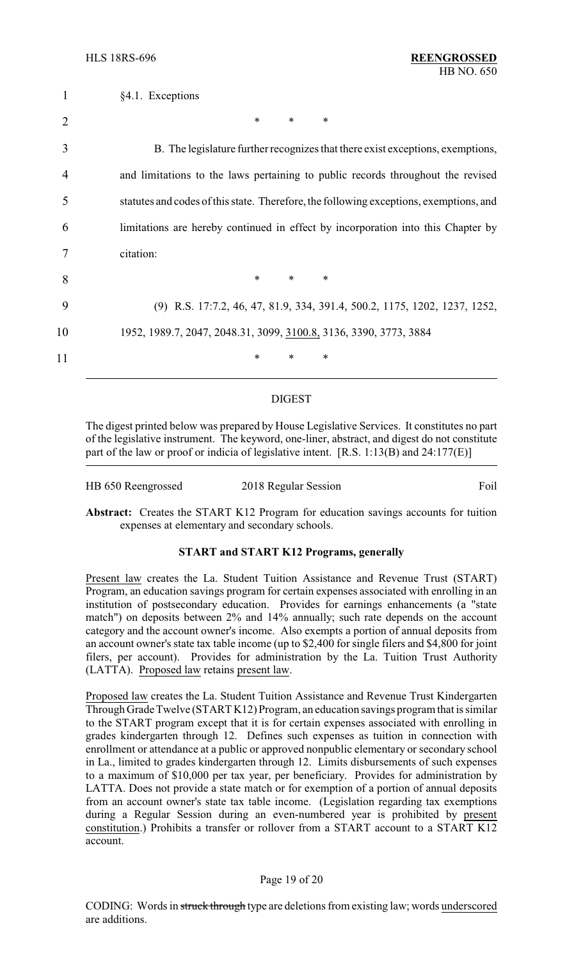| $\mathbf{1}$   | §4.1. Exceptions                                                                       |
|----------------|----------------------------------------------------------------------------------------|
| $\overline{2}$ | *<br>∗<br>$\ast$                                                                       |
| 3              | B. The legislature further recognizes that there exist exceptions, exemptions,         |
| 4              | and limitations to the laws pertaining to public records throughout the revised        |
| 5              | statutes and codes of this state. Therefore, the following exceptions, exemptions, and |
| 6              | limitations are hereby continued in effect by incorporation into this Chapter by       |
|                | citation:                                                                              |
| 8              | $\ast$<br>$\ast$<br>$\ast$                                                             |
| 9              | (9) R.S. 17:7.2, 46, 47, 81.9, 334, 391.4, 500.2, 1175, 1202, 1237, 1252,              |
| 10             | 1952, 1989.7, 2047, 2048.31, 3099, 3100.8, 3136, 3390, 3773, 3884                      |
| 11             | *<br>*<br>*                                                                            |
|                |                                                                                        |

#### DIGEST

The digest printed below was prepared by House Legislative Services. It constitutes no part of the legislative instrument. The keyword, one-liner, abstract, and digest do not constitute part of the law or proof or indicia of legislative intent. [R.S. 1:13(B) and 24:177(E)]

| HB 650 Reengrossed | 2018 Regular Session | Foil |
|--------------------|----------------------|------|
|                    |                      |      |

**Abstract:** Creates the START K12 Program for education savings accounts for tuition expenses at elementary and secondary schools.

## **START and START K12 Programs, generally**

Present law creates the La. Student Tuition Assistance and Revenue Trust (START) Program, an education savings program for certain expenses associated with enrolling in an institution of postsecondary education. Provides for earnings enhancements (a "state match") on deposits between 2% and 14% annually; such rate depends on the account category and the account owner's income. Also exempts a portion of annual deposits from an account owner's state tax table income (up to \$2,400 for single filers and \$4,800 for joint filers, per account). Provides for administration by the La. Tuition Trust Authority (LATTA). Proposed law retains present law.

Proposed law creates the La. Student Tuition Assistance and Revenue Trust Kindergarten Through Grade Twelve (START K12) Program, an education savings program that is similar to the START program except that it is for certain expenses associated with enrolling in grades kindergarten through 12. Defines such expenses as tuition in connection with enrollment or attendance at a public or approved nonpublic elementary or secondary school in La., limited to grades kindergarten through 12. Limits disbursements of such expenses to a maximum of \$10,000 per tax year, per beneficiary. Provides for administration by LATTA. Does not provide a state match or for exemption of a portion of annual deposits from an account owner's state tax table income. (Legislation regarding tax exemptions during a Regular Session during an even-numbered year is prohibited by present constitution.) Prohibits a transfer or rollover from a START account to a START K12 account.

## Page 19 of 20